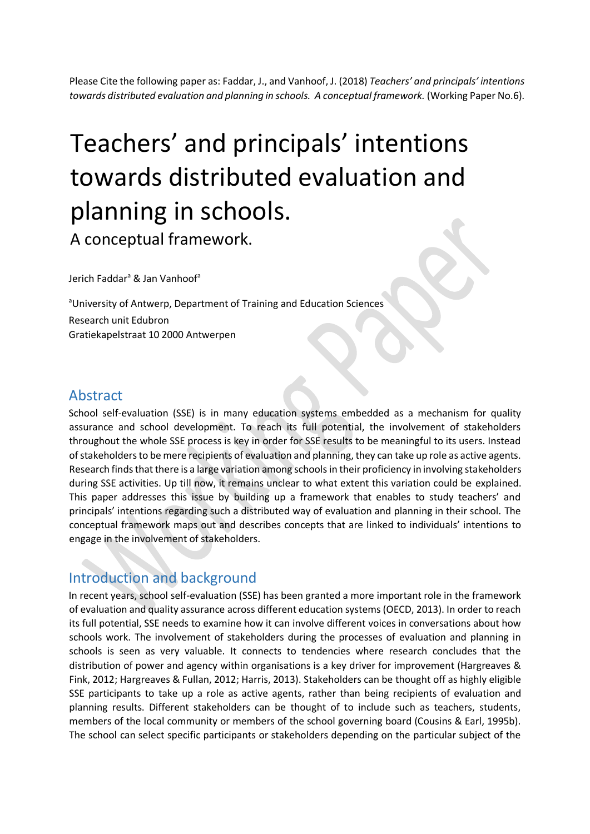Please Cite the following paper as: Faddar, J., and Vanhoof, J. (2018) *Teachers' and principals' intentions towards distributed evaluation and planning in schools. A conceptual framework.* (Working Paper No.6).

# Teachers' and principals' intentions towards distributed evaluation and planning in schools.

A conceptual framework.

Jerich Faddar<sup>a</sup> & Jan Vanhoof<sup>a</sup>

aUniversity of Antwerp, Department of Training and Education Sciences Research unit Edubron Gratiekapelstraat 10 2000 Antwerpen

## Abstract

School self-evaluation (SSE) is in many education systems embedded as a mechanism for quality assurance and school development. To reach its full potential, the involvement of stakeholders throughout the whole SSE process is key in order for SSE results to be meaningful to its users. Instead of stakeholders to be mere recipients of evaluation and planning, they can take up role as active agents. Research finds that there is a large variation among schools in their proficiency in involving stakeholders during SSE activities. Up till now, it remains unclear to what extent this variation could be explained. This paper addresses this issue by building up a framework that enables to study teachers' and principals' intentions regarding such a distributed way of evaluation and planning in their school. The conceptual framework maps out and describes concepts that are linked to individuals' intentions to engage in the involvement of stakeholders.

# Introduction and background

In recent years, school self-evaluation (SSE) has been granted a more important role in the framework of evaluation and quality assurance across different education systems (OECD, 2013). In order to reach its full potential, SSE needs to examine how it can involve different voices in conversations about how schools work. The involvement of stakeholders during the processes of evaluation and planning in schools is seen as very valuable. It connects to tendencies where research concludes that the distribution of power and agency within organisations is a key driver for improvement (Hargreaves & Fink, 2012; Hargreaves & Fullan, 2012; Harris, 2013). Stakeholders can be thought off as highly eligible SSE participants to take up a role as active agents, rather than being recipients of evaluation and planning results. Different stakeholders can be thought of to include such as teachers, students, members of the local community or members of the school governing board (Cousins & Earl, 1995b). The school can select specific participants or stakeholders depending on the particular subject of the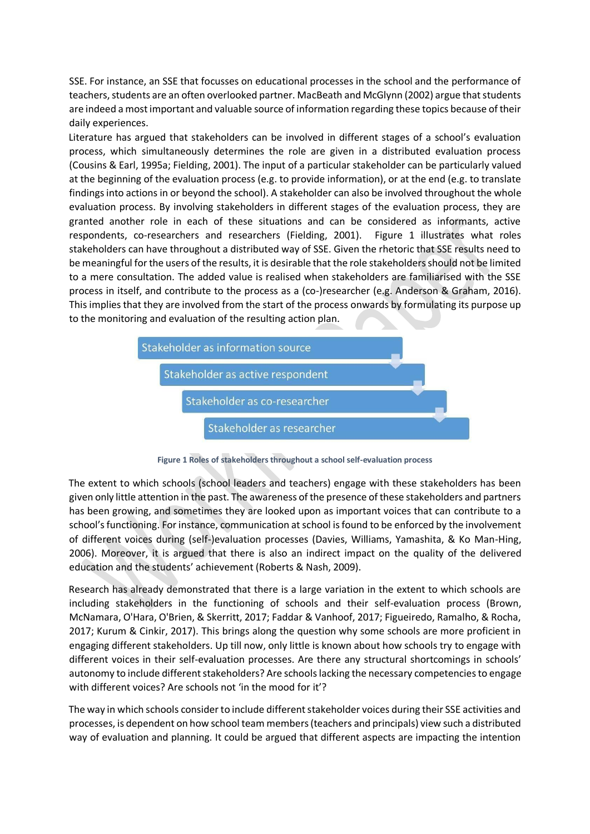SSE. For instance, an SSE that focusses on educational processes in the school and the performance of teachers, students are an often overlooked partner. MacBeath and McGlynn (2002) argue that students are indeed a most important and valuable source of information regarding these topics because of their daily experiences.

Literature has argued that stakeholders can be involved in different stages of a school's evaluation process, which simultaneously determines the role are given in a distributed evaluation process (Cousins & Earl, 1995a; Fielding, 2001). The input of a particular stakeholder can be particularly valued at the beginning of the evaluation process (e.g. to provide information), or at the end (e.g. to translate findings into actions in or beyond the school). A stakeholder can also be involved throughout the whole evaluation process. By involving stakeholders in different stages of the evaluation process, they are granted another role in each of these situations and can be considered as informants, active respondents, co-researchers and researchers (Fielding, 2001). Figure 1 illustrates what roles stakeholders can have throughout a distributed way of SSE. Given the rhetoric that SSE results need to be meaningful for the users of the results, it is desirable that the role stakeholders should not be limited to a mere consultation. The added value is realised when stakeholders are familiarised with the SSE process in itself, and contribute to the process as a (co-)researcher (e.g. Anderson & Graham, 2016). This implies that they are involved from the start of the process onwards by formulating its purpose up to the monitoring and evaluation of the resulting action plan.



**Figure 1 Roles of stakeholders throughout a school self-evaluation process** 

The extent to which schools (school leaders and teachers) engage with these stakeholders has been given only little attention in the past. The awareness of the presence of these stakeholders and partners has been growing, and sometimes they are looked upon as important voices that can contribute to a school's functioning. For instance, communication at school is found to be enforced by the involvement of different voices during (self-)evaluation processes (Davies, Williams, Yamashita, & Ko Man-Hing, 2006). Moreover, it is argued that there is also an indirect impact on the quality of the delivered education and the students' achievement (Roberts & Nash, 2009).

Research has already demonstrated that there is a large variation in the extent to which schools are including stakeholders in the functioning of schools and their self-evaluation process (Brown, McNamara, O'Hara, O'Brien, & Skerritt, 2017; Faddar & Vanhoof, 2017; Figueiredo, Ramalho, & Rocha, 2017; Kurum & Cinkir, 2017). This brings along the question why some schools are more proficient in engaging different stakeholders. Up till now, only little is known about how schools try to engage with different voices in their self-evaluation processes. Are there any structural shortcomings in schools' autonomy to include different stakeholders? Are schools lacking the necessary competencies to engage with different voices? Are schools not 'in the mood for it'?

The way in which schools consider to include different stakeholder voices during their SSE activities and processes, is dependent on how school team members (teachers and principals) view such a distributed way of evaluation and planning. It could be argued that different aspects are impacting the intention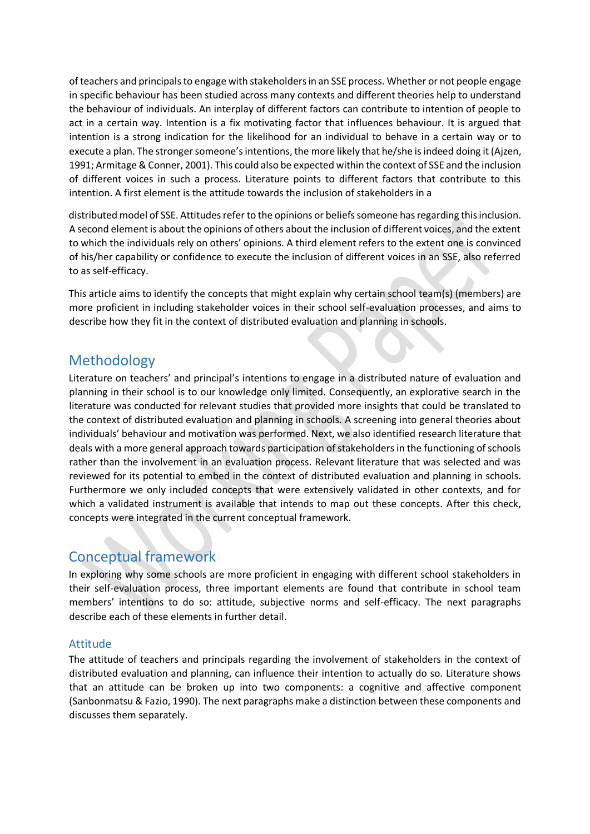of teachers and principals to engage with stakeholders in an SSE process. Whether or not people engage in specific behaviour has been studied across many contexts and different theories help to understand the behaviour of individuals. An interplay of different factors can contribute to intention of people to act in a certain way. Intention is a fix motivating factor that influences behaviour. It is argued that intention is a strong indication for the likelihood for an individual to behave in a certain way or to execute a plan. The stronger someone's intentions, the more likely that he/she is indeed doing it (Ajzen, 1991; Armitage & Conner, 2001). This could also be expected within the context of SSE and the inclusion of different voices in such a process. Literature points to different factors that contribute to this intention. A first element is the attitude towards the inclusion of stakeholders in a

distributed model of SSE. Attitudes refer to the opinions or beliefs someone has regarding this inclusion. A second element is about the opinions of others about the inclusion of different voices, and the extent to which the individuals rely on others' opinions. A third element refers to the extent one is convinced of his/her capability or confidence to execute the inclusion of different voices in an SSE, also referred to as self-efficacy.

This article aims to identify the concepts that might explain why certain school team(s) (members) are more proficient in including stakeholder voices in their school self-evaluation processes, and aims to describe how they fit in the context of distributed evaluation and planning in schools.

# Methodology

Literature on teachers' and principal's intentions to engage in a distributed nature of evaluation and planning in their school is to our knowledge only limited. Consequently, an explorative search in the literature was conducted for relevant studies that provided more insights that could be translated to the context of distributed evaluation and planning in schools. A screening into general theories about individuals' behaviour and motivation was performed. Next, we also identified research literature that deals with a more general approach towards participation of stakeholders in the functioning of schools rather than the involvement in an evaluation process. Relevant literature that was selected and was reviewed for its potential to embed in the context of distributed evaluation and planning in schools. Furthermore we only included concepts that were extensively validated in other contexts, and for which a validated instrument is available that intends to map out these concepts. After this check, concepts were integrated in the current conceptual framework.

# Conceptual framework

In exploring why some schools are more proficient in engaging with different school stakeholders in their self-evaluation process, three important elements are found that contribute in school team members' intentions to do so: attitude, subjective norms and self-efficacy. The next paragraphs describe each of these elements in further detail.

## Attitude

The attitude of teachers and principals regarding the involvement of stakeholders in the context of distributed evaluation and planning, can influence their intention to actually do so. Literature shows that an attitude can be broken up into two components: a cognitive and affective component (Sanbonmatsu & Fazio, 1990). The next paragraphs make a distinction between these components and discusses them separately.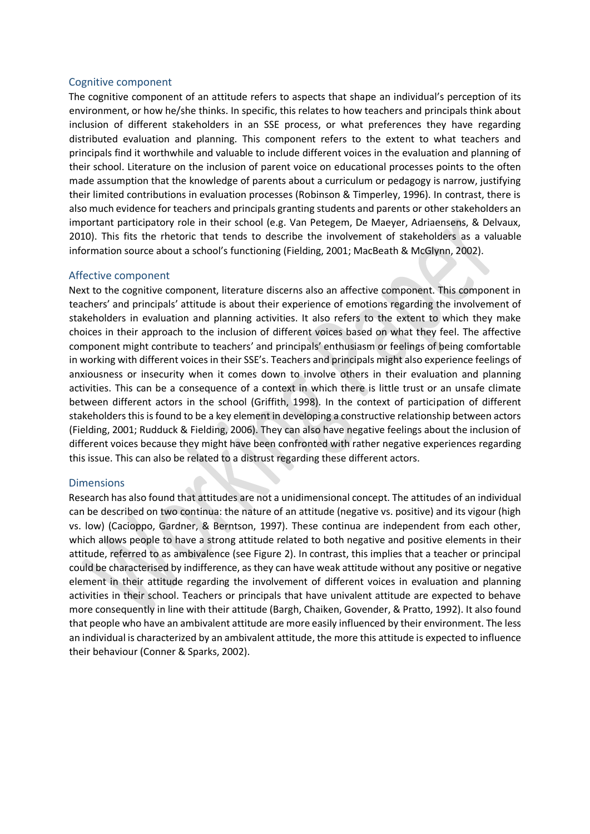#### Cognitive component

The cognitive component of an attitude refers to aspects that shape an individual's perception of its environment, or how he/she thinks. In specific, this relates to how teachers and principals think about inclusion of different stakeholders in an SSE process, or what preferences they have regarding distributed evaluation and planning. This component refers to the extent to what teachers and principals find it worthwhile and valuable to include different voices in the evaluation and planning of their school. Literature on the inclusion of parent voice on educational processes points to the often made assumption that the knowledge of parents about a curriculum or pedagogy is narrow, justifying their limited contributions in evaluation processes (Robinson & Timperley, 1996). In contrast, there is also much evidence for teachers and principals granting students and parents or other stakeholders an important participatory role in their school (e.g. Van Petegem, De Maeyer, Adriaensens, & Delvaux, 2010). This fits the rhetoric that tends to describe the involvement of stakeholders as a valuable information source about a school's functioning (Fielding, 2001; MacBeath & McGlynn, 2002).

#### Affective component

Next to the cognitive component, literature discerns also an affective component. This component in teachers' and principals' attitude is about their experience of emotions regarding the involvement of stakeholders in evaluation and planning activities. It also refers to the extent to which they make choices in their approach to the inclusion of different voices based on what they feel. The affective component might contribute to teachers' and principals' enthusiasm or feelings of being comfortable in working with different voices in their SSE's. Teachers and principals might also experience feelings of anxiousness or insecurity when it comes down to involve others in their evaluation and planning activities. This can be a consequence of a context in which there is little trust or an unsafe climate between different actors in the school (Griffith, 1998). In the context of participation of different stakeholders this is found to be a key element in developing a constructive relationship between actors (Fielding, 2001; Rudduck & Fielding, 2006). They can also have negative feelings about the inclusion of different voices because they might have been confronted with rather negative experiences regarding this issue. This can also be related to a distrust regarding these different actors.

#### Dimensions

Research has also found that attitudes are not a unidimensional concept. The attitudes of an individual can be described on two continua: the nature of an attitude (negative vs. positive) and its vigour (high vs. low) (Cacioppo, Gardner, & Berntson, 1997). These continua are independent from each other, which allows people to have a strong attitude related to both negative and positive elements in their attitude, referred to as ambivalence (see Figure 2). In contrast, this implies that a teacher or principal could be characterised by indifference, as they can have weak attitude without any positive or negative element in their attitude regarding the involvement of different voices in evaluation and planning activities in their school. Teachers or principals that have univalent attitude are expected to behave more consequently in line with their attitude (Bargh, Chaiken, Govender, & Pratto, 1992). It also found that people who have an ambivalent attitude are more easily influenced by their environment. The less an individual is characterized by an ambivalent attitude, the more this attitude is expected to influence their behaviour (Conner & Sparks, 2002).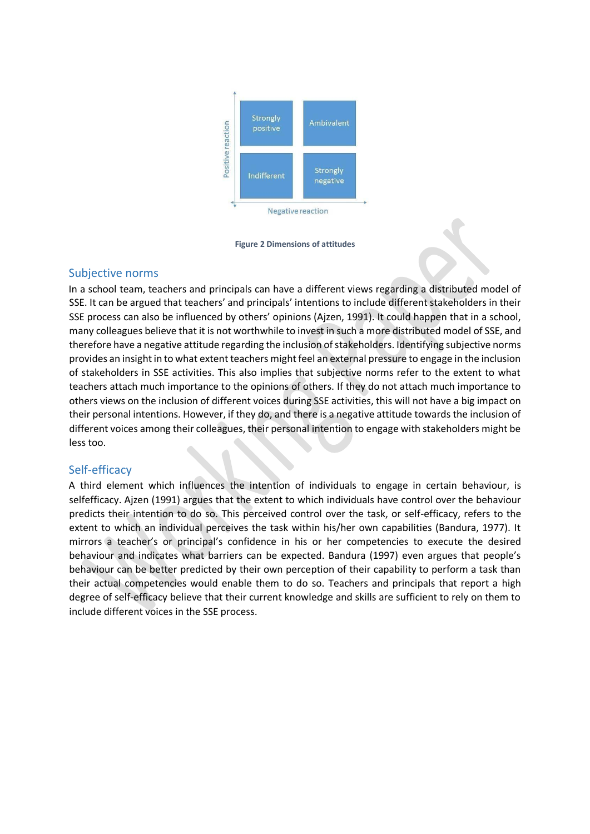

**Figure 2 Dimensions of attitudes** 

## Subjective norms

In a school team, teachers and principals can have a different views regarding a distributed model of SSE. It can be argued that teachers' and principals' intentions to include different stakeholders in their SSE process can also be influenced by others' opinions (Ajzen, 1991). It could happen that in a school, many colleagues believe that it is not worthwhile to invest in such a more distributed model of SSE, and therefore have a negative attitude regarding the inclusion of stakeholders. Identifying subjective norms provides an insight in to what extent teachers might feel an external pressure to engage in the inclusion of stakeholders in SSE activities. This also implies that subjective norms refer to the extent to what teachers attach much importance to the opinions of others. If they do not attach much importance to others views on the inclusion of different voices during SSE activities, this will not have a big impact on their personal intentions. However, if they do, and there is a negative attitude towards the inclusion of different voices among their colleagues, their personal intention to engage with stakeholders might be less too.

## Self-efficacy

A third element which influences the intention of individuals to engage in certain behaviour, is selfefficacy. Ajzen (1991) argues that the extent to which individuals have control over the behaviour predicts their intention to do so. This perceived control over the task, or self-efficacy, refers to the extent to which an individual perceives the task within his/her own capabilities (Bandura, 1977). It mirrors a teacher's or principal's confidence in his or her competencies to execute the desired behaviour and indicates what barriers can be expected. Bandura (1997) even argues that people's behaviour can be better predicted by their own perception of their capability to perform a task than their actual competencies would enable them to do so. Teachers and principals that report a high degree of self-efficacy believe that their current knowledge and skills are sufficient to rely on them to include different voices in the SSE process.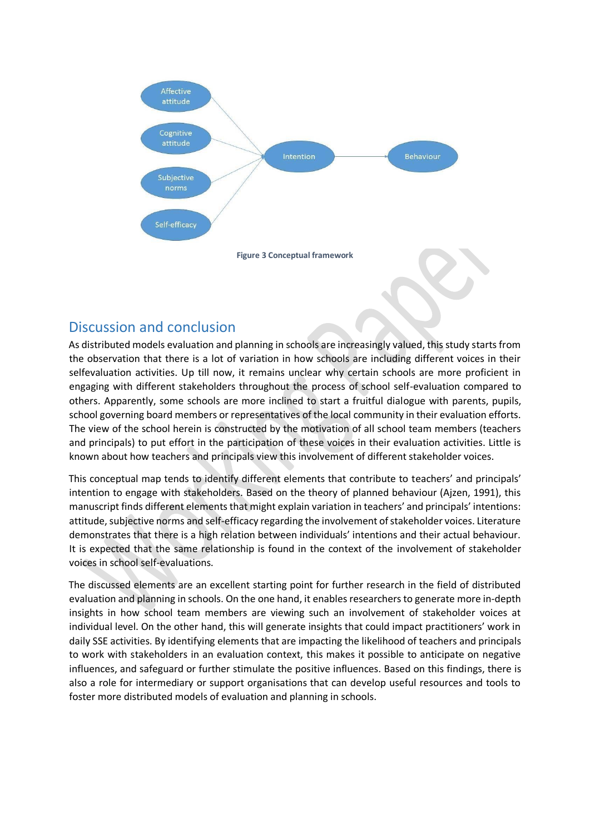

# Discussion and conclusion

As distributed models evaluation and planning in schools are increasingly valued, this study starts from the observation that there is a lot of variation in how schools are including different voices in their selfevaluation activities. Up till now, it remains unclear why certain schools are more proficient in engaging with different stakeholders throughout the process of school self-evaluation compared to others. Apparently, some schools are more inclined to start a fruitful dialogue with parents, pupils, school governing board members or representatives of the local community in their evaluation efforts. The view of the school herein is constructed by the motivation of all school team members (teachers and principals) to put effort in the participation of these voices in their evaluation activities. Little is known about how teachers and principals view this involvement of different stakeholder voices.

This conceptual map tends to identify different elements that contribute to teachers' and principals' intention to engage with stakeholders. Based on the theory of planned behaviour (Ajzen, 1991), this manuscript finds different elements that might explain variation in teachers' and principals' intentions: attitude, subjective norms and self-efficacy regarding the involvement of stakeholder voices. Literature demonstrates that there is a high relation between individuals' intentions and their actual behaviour. It is expected that the same relationship is found in the context of the involvement of stakeholder voices in school self-evaluations.

The discussed elements are an excellent starting point for further research in the field of distributed evaluation and planning in schools. On the one hand, it enables researchers to generate more in-depth insights in how school team members are viewing such an involvement of stakeholder voices at individual level. On the other hand, this will generate insights that could impact practitioners' work in daily SSE activities. By identifying elements that are impacting the likelihood of teachers and principals to work with stakeholders in an evaluation context, this makes it possible to anticipate on negative influences, and safeguard or further stimulate the positive influences. Based on this findings, there is also a role for intermediary or support organisations that can develop useful resources and tools to foster more distributed models of evaluation and planning in schools.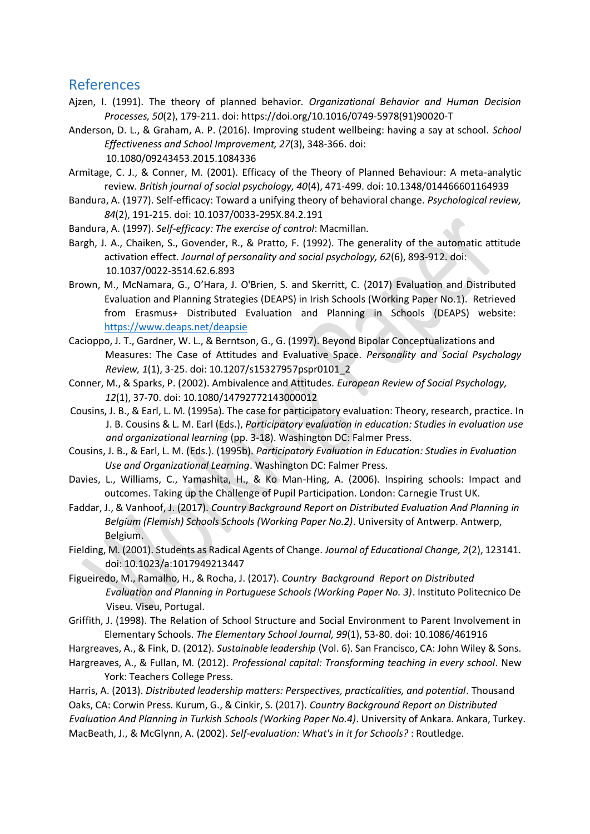## References

- Ajzen, I. (1991). The theory of planned behavior. *Organizational Behavior and Human Decision Processes, 50*(2), 179-211. doi: https://doi.org/10.1016/0749-5978(91)90020-T
- Anderson, D. L., & Graham, A. P. (2016). Improving student wellbeing: having a say at school. *School Effectiveness and School Improvement, 27*(3), 348-366. doi: 10.1080/09243453.2015.1084336
- Armitage, C. J., & Conner, M. (2001). Efficacy of the Theory of Planned Behaviour: A meta-analytic review. *British journal of social psychology, 40*(4), 471-499. doi: 10.1348/014466601164939
- Bandura, A. (1977). Self-efficacy: Toward a unifying theory of behavioral change. *Psychological review, 84*(2), 191-215. doi: 10.1037/0033-295X.84.2.191
- Bandura, A. (1997). *Self-efficacy: The exercise of control*: Macmillan.
- Bargh, J. A., Chaiken, S., Govender, R., & Pratto, F. (1992). The generality of the automatic attitude activation effect. *Journal of personality and social psychology, 62*(6), 893-912. doi: 10.1037/0022-3514.62.6.893
- Brown, M., McNamara, G., O'Hara, J. O'Brien, S. and Skerritt, C. (2017) Evaluation and Distributed Evaluation and Planning Strategies (DEAPS) in Irish Schools (Working Paper No.1). Retrieved from Erasmus+ Distributed Evaluation and Planning in Schools (DEAPS) website: <https://www.deaps.net/deapsie>
- Cacioppo, J. T., Gardner, W. L., & Berntson, G., G. (1997). Beyond Bipolar Conceptualizations and Measures: The Case of Attitudes and Evaluative Space. *Personality and Social Psychology Review, 1*(1), 3-25. doi: 10.1207/s15327957pspr0101\_2
- Conner, M., & Sparks, P. (2002). Ambivalence and Attitudes. *European Review of Social Psychology, 12*(1), 37-70. doi: 10.1080/14792772143000012
- Cousins, J. B., & Earl, L. M. (1995a). The case for participatory evaluation: Theory, research, practice. In J. B. Cousins & L. M. Earl (Eds.), *Participatory evaluation in education: Studies in evaluation use and organizational learning* (pp. 3-18). Washington DC: Falmer Press.
- Cousins, J. B., & Earl, L. M. (Eds.). (1995b). *Participatory Evaluation in Education: Studies in Evaluation Use and Organizational Learning*. Washington DC: Falmer Press.
- Davies, L., Williams, C., Yamashita, H., & Ko Man-Hing, A. (2006). Inspiring schools: Impact and outcomes. Taking up the Challenge of Pupil Participation. London: Carnegie Trust UK.
- Faddar, J., & Vanhoof, J. (2017). *Country Background Report on Distributed Evaluation And Planning in Belgium (Flemish) Schools Schools (Working Paper No.2)*. University of Antwerp. Antwerp, Belgium.
- Fielding, M. (2001). Students as Radical Agents of Change. *Journal of Educational Change, 2*(2), 123141. doi: 10.1023/a:1017949213447
- Figueiredo, M., Ramalho, H., & Rocha, J. (2017). *Country Background Report on Distributed Evaluation and Planning in Portuguese Schools (Working Paper No. 3)*. Instituto Politecnico De Viseu. Viseu, Portugal.
- Griffith, J. (1998). The Relation of School Structure and Social Environment to Parent Involvement in Elementary Schools. *The Elementary School Journal, 99*(1), 53-80. doi: 10.1086/461916

Hargreaves, A., & Fink, D. (2012). *Sustainable leadership* (Vol. 6). San Francisco, CA: John Wiley & Sons.

Hargreaves, A., & Fullan, M. (2012). *Professional capital: Transforming teaching in every school*. New York: Teachers College Press.

Harris, A. (2013). *Distributed leadership matters: Perspectives, practicalities, and potential*. Thousand Oaks, CA: Corwin Press. Kurum, G., & Cinkir, S. (2017). *Country Background Report on Distributed Evaluation And Planning in Turkish Schools (Working Paper No.4)*. University of Ankara. Ankara, Turkey. MacBeath, J., & McGlynn, A. (2002). *Self-evaluation: What's in it for Schools?* : Routledge.